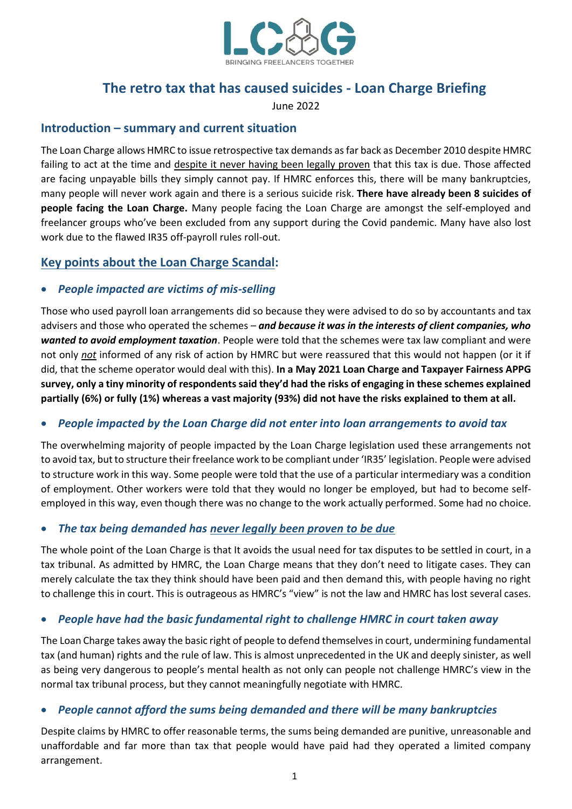

# **The retro tax that has caused suicides - Loan Charge Briefing**

June 2022

### **Introduction – summary and current situation**

The Loan Charge allows HMRC to issue retrospective tax demands as far back as December 2010 despite HMRC failing to act at the time and despite it never having been legally proven that this tax is due. Those affected are facing unpayable bills they simply cannot pay. If HMRC enforces this, there will be many bankruptcies, many people will never work again and there is a serious suicide risk. **There have already been 8 suicides of people facing the Loan Charge.** Many people facing the Loan Charge are amongst the self-employed and freelancer groups who've been excluded from any support during the Covid pandemic. Many have also lost work due to the flawed IR35 off-payroll rules roll-out.

### **Key points about the Loan Charge Scandal:**

### • *People impacted are victims of mis-selling*

Those who used payroll loan arrangements did so because they were advised to do so by accountants and tax advisers and those who operated the schemes – *and because it was in the interests of client companies, who wanted to avoid employment taxation*. People were told that the schemes were tax law compliant and were not only *not* informed of any risk of action by HMRC but were reassured that this would not happen (or it if did, that the scheme operator would deal with this). **In a May 2021 Loan Charge and Taxpayer Fairness APPG survey, only a tiny minority of respondents said they'd had the risks of engaging in these schemes explained partially (6%) or fully (1%) whereas a vast majority (93%) did not have the risks explained to them at all.** 

### • *People impacted by the Loan Charge did not enter into loan arrangements to avoid tax*

The overwhelming majority of people impacted by the Loan Charge legislation used these arrangements not to avoid tax, but to structure their freelance work to be compliant under 'IR35' legislation. People were advised to structure work in this way. Some people were told that the use of a particular intermediary was a condition of employment. Other workers were told that they would no longer be employed, but had to become selfemployed in this way, even though there was no change to the work actually performed. Some had no choice.

### • *The tax being demanded has never legally been proven to be due*

The whole point of the Loan Charge is that It avoids the usual need for tax disputes to be settled in court, in a tax tribunal. As admitted by HMRC, the Loan Charge means that they don't need to litigate cases. They can merely calculate the tax they think should have been paid and then demand this, with people having no right to challenge this in court. This is outrageous as HMRC's "view" is not the law and HMRC has lost several cases.

### • *People have had the basic fundamental right to challenge HMRC in court taken away*

The Loan Charge takes away the basic right of people to defend themselvesin court, undermining fundamental tax (and human) rights and the rule of law. This is almost unprecedented in the UK and deeply sinister, as well as being very dangerous to people's mental health as not only can people not challenge HMRC's view in the normal tax tribunal process, but they cannot meaningfully negotiate with HMRC.

## • *People cannot afford the sums being demanded and there will be many bankruptcies*

Despite claims by HMRC to offer reasonable terms, the sums being demanded are punitive, unreasonable and unaffordable and far more than tax that people would have paid had they operated a limited company arrangement.